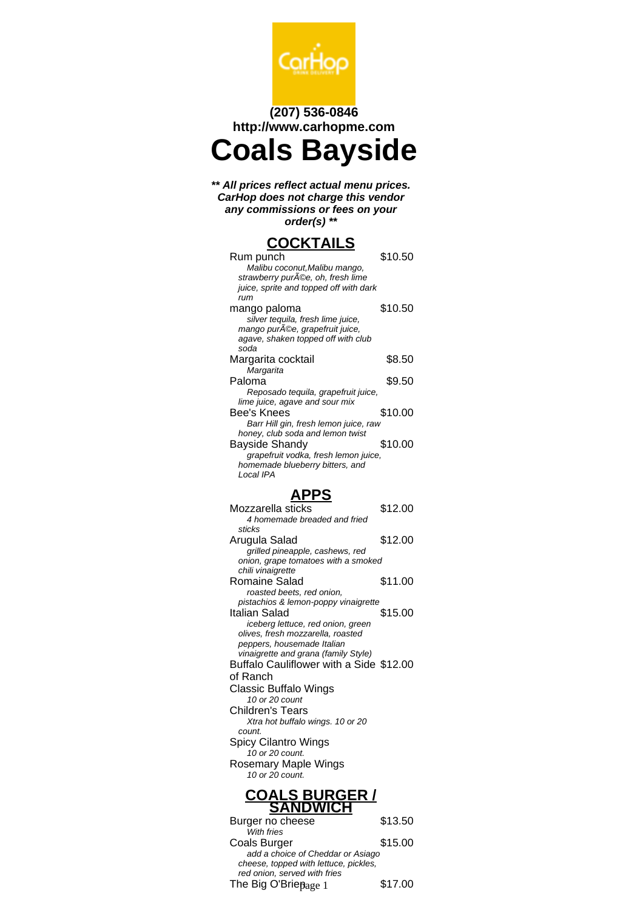

## **(207) 536-0846 http://www.carhopme.com**

**Coals Bayside**

**\*\* All prices reflect actual menu prices. CarHop does not charge this vendor any commissions or fees on your order(s) \*\***

# **COCKTAILS**

| Rum punch                              | \$10.50 |
|----------------------------------------|---------|
| Malibu coconut, Malibu mango,          |         |
| strawberry purA©e, oh, fresh lime      |         |
| juice, sprite and topped off with dark |         |
| rum                                    |         |
| mango paloma                           | \$10.50 |
| silver tequila, fresh lime juice,      |         |
| mango purA©e, grapefruit juice,        |         |
| agave, shaken topped off with club     |         |
| soda                                   |         |
| Margarita cocktail                     | \$8.50  |
| Margarita                              |         |
| Paloma                                 | \$9.50  |
| Reposado tequila, grapefruit juice,    |         |
| lime juice, agave and sour mix         |         |
| Bee's Knees                            | \$10.00 |
| Barr Hill gin, fresh lemon juice, raw  |         |
| honey, club soda and lemon twist       |         |
| Bayside Shandy                         | \$10.00 |
| grapefruit vodka, fresh lemon juice,   |         |
| homemade blueberry bitters, and        |         |
| Local IPA                              |         |
|                                        |         |

## **APPS**

| Mozzarella sticks                       | \$12.00 |
|-----------------------------------------|---------|
| 4 homemade breaded and fried            |         |
| sticks                                  |         |
| Arugula Salad                           | \$12.00 |
| grilled pineapple, cashews, red         |         |
| onion, grape tomatoes with a smoked     |         |
| chili vinaigrette                       |         |
| Romaine Salad                           | \$11.00 |
| roasted beets, red onion,               |         |
| pistachios & lemon-poppy vinaigrette    |         |
| Italian Salad                           | \$15.00 |
| iceberg lettuce, red onion, green       |         |
| olives, fresh mozzarella, roasted       |         |
| peppers, housemade Italian              |         |
| vinaigrette and grana (family Style)    |         |
| Buffalo Cauliflower with a Side \$12.00 |         |
| of Ranch                                |         |
| Classic Buffalo Wings                   |         |
| 10 or 20 count                          |         |
| Children's Tears                        |         |
| Xtra hot buffalo wings. 10 or 20        |         |
| count.                                  |         |
| Spicy Cilantro Wings                    |         |
| 10 or 20 count.                         |         |
| Rosemary Maple Wings                    |         |
| 10 or 20 count.                         |         |
|                                         |         |
| <b>COALS BURGER /<br/>SANDWICH</b>      |         |
|                                         |         |
| Burger no cheese                        | \$13.50 |
| With fries                              |         |
| Coals Burger                            | \$15.00 |
| add a choice of Cheddar or Asiago       |         |
| cheese, topped with lettuce, pickles,   |         |
|                                         |         |

red onion, served with fries

The Big O'Brie $_{\rm{Page\ 1}}$  \$17.00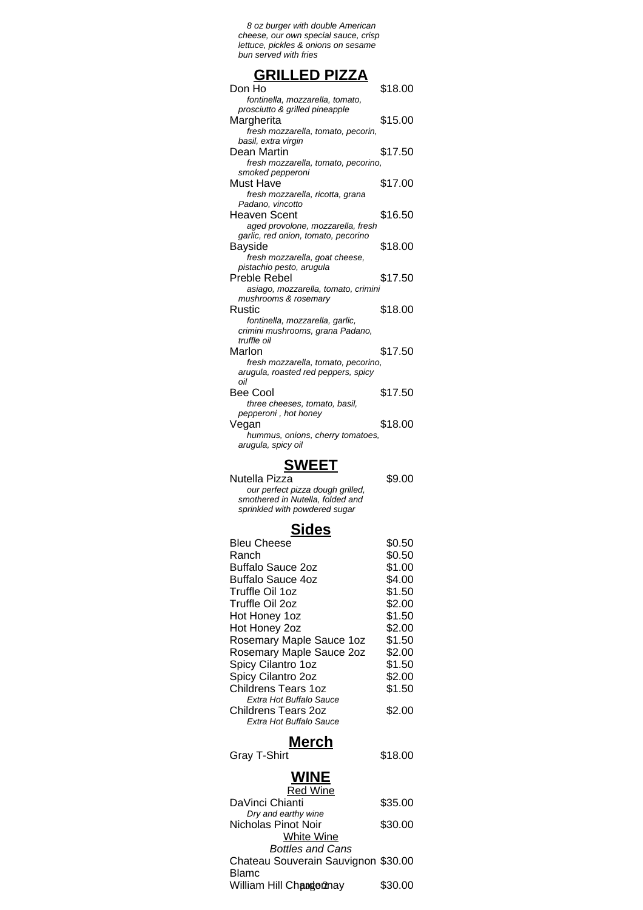8 oz burger with double American cheese, our own special sauce, crisp lettuce, pickles & onions on sesame bun served with fries

### **GRILLED PIZZA**

| Don Ho                              | \$18.00 |
|-------------------------------------|---------|
| fontinella, mozzarella, tomato,     |         |
| prosciutto & grilled pineapple      |         |
| Margherita                          | \$15.00 |
| fresh mozzarella, tomato, pecorin,  |         |
| basil, extra virgin                 |         |
| Dean Martin                         | \$17.50 |
| fresh mozzarella, tomato, pecorino, |         |
| smoked pepperoni                    |         |
| Must Have                           | \$17.00 |
| fresh mozzarella, ricotta, grana    |         |
| Padano, vincotto                    |         |
| <b>Heaven Scent</b>                 | \$16.50 |
| aged provolone, mozzarella, fresh   |         |
| garlic, red onion, tomato, pecorino |         |
| Bayside                             | \$18.00 |
| fresh mozzarella, goat cheese,      |         |
| pistachio pesto, arugula            |         |
| Preble Rebel                        | \$17.50 |
| asiago, mozzarella, tomato, crimini |         |
| mushrooms & rosemary                |         |
| Rustic                              | \$18.00 |
| fontinella, mozzarella, garlic,     |         |
| crimini mushrooms, grana Padano,    |         |
| truffle oil                         |         |
| Marlon                              | \$17.50 |
| fresh mozzarella, tomato, pecorino, |         |
|                                     |         |
| arugula, roasted red peppers, spicy |         |
| oil                                 |         |
| Bee Cool                            | \$17.50 |
| three cheeses, tomato, basil,       |         |
| pepperoni, hot honey                |         |
| Vegan                               | \$18.00 |
| hummus, onions, cherry tomatoes,    |         |
| arugula, spicy oil                  |         |

## **SWEET**

| Nutella Pizza                                                                                         | \$9.00 |
|-------------------------------------------------------------------------------------------------------|--------|
| our perfect pizza dough grilled,<br>smothered in Nutella, folded and<br>sprinkled with powdered sugar |        |
|                                                                                                       |        |

#### **Sides**

| <b>Bleu Cheese</b>       | \$0.50 |
|--------------------------|--------|
| Ranch                    | \$0.50 |
| <b>Buffalo Sauce 2oz</b> | \$1.00 |
| Buffalo Sauce 4oz        | \$4.00 |
| Truffle Oil 1oz          | \$1.50 |
| Truffle Oil 2oz          | \$2.00 |
| Hot Honey 1oz            | \$1.50 |
| Hot Honey 2oz            | \$2.00 |
| Rosemary Maple Sauce 1oz | \$1.50 |
| Rosemary Maple Sauce 2oz | \$2.00 |
| Spicy Cilantro 1oz       | \$1.50 |
| Spicy Cilantro 2oz       | \$2.00 |
| Childrens Tears 1oz      | \$1.50 |
| Extra Hot Buffalo Sauce  |        |
| Childrens Tears 2oz      | \$2.00 |
| Extra Hot Buffalo Sauce  |        |
|                          |        |

#### **Merch**

Gray T-Shirt \$18.00

# **WINE**

| <b>Red Wine</b>                     |         |
|-------------------------------------|---------|
| DaVinci Chianti                     | \$35.00 |
| Dry and earthy wine                 |         |
| Nicholas Pinot Noir                 | \$30.00 |
| <b>White Wine</b>                   |         |
| <b>Bottles and Cans</b>             |         |
| Chateau Souverain Sauvignon \$30.00 |         |
| <b>Blamc</b>                        |         |
| William Hill Changennay             | \$30.00 |
|                                     |         |